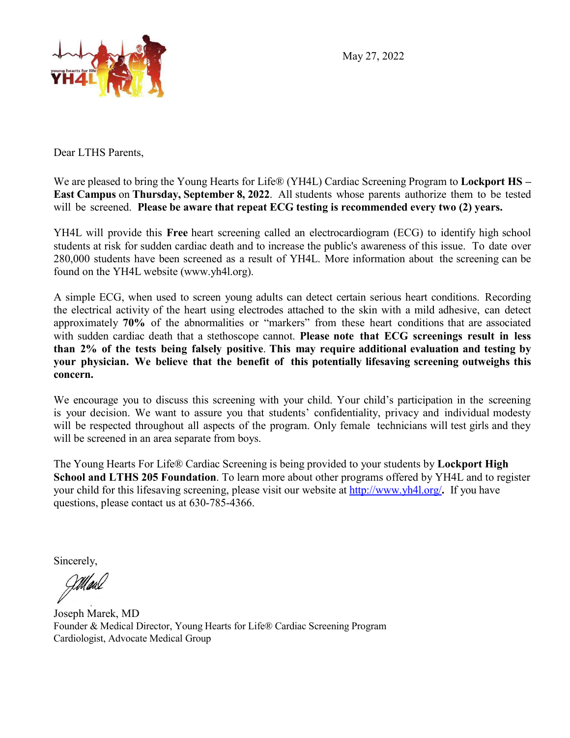May 27, 2022



Dear LTHS Parents,

We are pleased to bring the Young Hearts for Life® (YH4L) Cardiac Screening Program to **Lockport HS – East Campus** on **Thursday, September 8, 2022**. All students whose parents authorize them to be tested will be screened. **Please be aware that repeat ECG testing is recommended every two (2) years.**

YH4L will provide this **Free** heart screening called an electrocardiogram (ECG) to identify high school students at risk for sudden cardiac death and to increase the public's awareness of this issue. To date over 280,000 students have been screened as a result of YH4L. More information about the screening can be found on the YH4L website (www.yh4l.org).

A simple ECG, when used to screen young adults can detect certain serious heart conditions. Recording the electrical activity of the heart using electrodes attached to the skin with a mild adhesive, can detect approximately **70%** of the abnormalities or "markers" from these heart conditions that are associated with sudden cardiac death that a stethoscope cannot. **Please note that ECG screenings result in less than 2% of the tests being falsely positive**. **This may require additional evaluation and testing by your physician. We believe that the benefit of this potentially lifesaving screening outweighs this concern.**

We encourage you to discuss this screening with your child. Your child's participation in the screening is your decision. We want to assure you that students' confidentiality, privacy and individual modesty will be respected throughout all aspects of the program. Only female technicians will test girls and they will be screened in an area separate from boys.

The Young Hearts For Life® Cardiac Screening is being provided to your students by **Lockport High School and LTHS 205 Foundation**. To learn more about other programs offered by YH4L and to register your child for this lifesaving screening, please visit our website at <http://www.yh4l.org/>**.** If you have questions, please contact us at 630-785-4366.

Sincerely,

VM aw

Joseph Marek, MD Founder & Medical Director, Young Hearts for Life® Cardiac Screening Program Cardiologist, Advocate Medical Group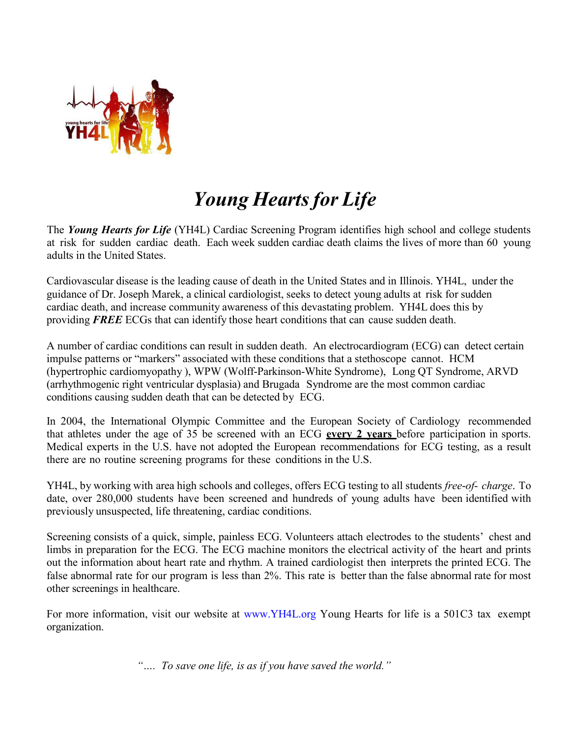

# *Young Hearts for Life*

The *Young Hearts for Life* (YH4L) Cardiac Screening Program identifies high school and college students at risk for sudden cardiac death. Each week sudden cardiac death claims the lives of more than 60 young adults in the United States.

Cardiovascular disease is the leading cause of death in the United States and in Illinois. YH4L, under the guidance of Dr. Joseph Marek, a clinical cardiologist, seeks to detect young adults at risk for sudden cardiac death, and increase community awareness of this devastating problem. YH4L does this by providing *FREE* ECGs that can identify those heart conditions that can cause sudden death.

A number of cardiac conditions can result in sudden death. An electrocardiogram (ECG) can detect certain impulse patterns or "markers" associated with these conditions that a stethoscope cannot. HCM (hypertrophic cardiomyopathy ), WPW (Wolff-Parkinson-White Syndrome), Long QT Syndrome, ARVD (arrhythmogenic right ventricular dysplasia) and Brugada Syndrome are the most common cardiac conditions causing sudden death that can be detected by ECG.

In 2004, the International Olympic Committee and the European Society of Cardiology recommended that athletes under the age of 35 be screened with an ECG **every 2 years** before participation in sports. Medical experts in the U.S. have not adopted the European recommendations for ECG testing, as a result there are no routine screening programs for these conditions in the U.S.

YH4L, by working with area high schools and colleges, offers ECG testing to all students *free*-*of*- *charge*. To date, over 280,000 students have been screened and hundreds of young adults have been identified with previously unsuspected, life threatening, cardiac conditions.

Screening consists of a quick, simple, painless ECG. Volunteers attach electrodes to the students' chest and limbs in preparation for the ECG. The ECG machine monitors the electrical activity of the heart and prints out the information about heart rate and rhythm. A trained cardiologist then interprets the printed ECG. The false abnormal rate for our program is less than 2%. This rate is better than the false abnormal rate for most other screenings in healthcare.

For more information, visit our website at [www.YH4L.org](http://www.yh4l.org/) Young Hearts for life is a 501C3 tax exempt organization.

*"…. To save one life, is as if you have saved the world."*